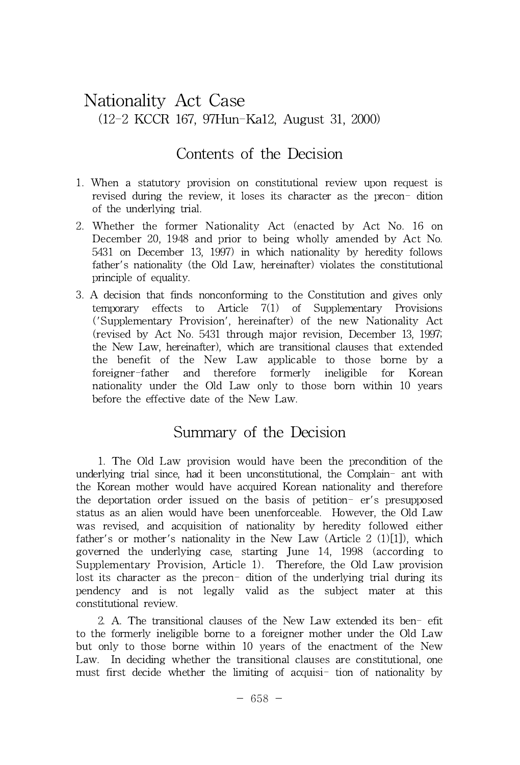# Nationality Act Case (12-2 KCCR 167, 97Hun-Ka12, August 31, 2000)

## Contents of the Decision

- 1. When a statutory provision on constitutional review upon request is revised during the review, it loses its character as the precon- dition of the underlying trial.
- 2. Whether the former Nationality Act (enacted by Act No. 16 on December 20, 1948 and prior to being wholly amended by Act No. 5431 on December 13, 1997) in which nationality by heredity follows father's nationality (the Old Law, hereinafter) violates the constitutional principle of equality.
- 3. A decision that finds nonconforming to the Constitution and gives only temporary effects to Article 7(1) of Supplementary Provisions ('Supplementary Provision', hereinafter) of the new Nationality Act (revised by Act No. 5431 through major revision, December 13, 1997; the New Law, hereinafter), which are transitional clauses that extended the benefit of the New Law applicable to those borne by a foreigner-father and therefore formerly ineligible for Korean nationality under the Old Law only to those born within 10 years before the effective date of the New Law.

## Summary of the Decision

1. The Old Law provision would have been the precondition of the underlying trial since, had it been unconstitutional, the Complain- ant with the Korean mother would have acquired Korean nationality and therefore the deportation order issued on the basis of petition- er's presupposed status as an alien would have been unenforceable. However, the Old Law was revised, and acquisition of nationality by heredity followed either father's or mother's nationality in the New Law  $(Article 2 (1)[1])$ , which governed the underlying case, starting June 14, 1998 (according to Supplementary Provision, Article 1). Therefore, the Old Law provision lost its character as the precon- dition of the underlying trial during its pendency and is not legally valid as the subject mater at this constitutional review.

2. A. The transitional clauses of the New Law extended its ben- efit to the formerly ineligible borne to a foreigner mother under the Old Law but only to those borne within 10 years of the enactment of the New Law. In deciding whether the transitional clauses are constitutional, one must first decide whether the limiting of acquisi- tion of nationality by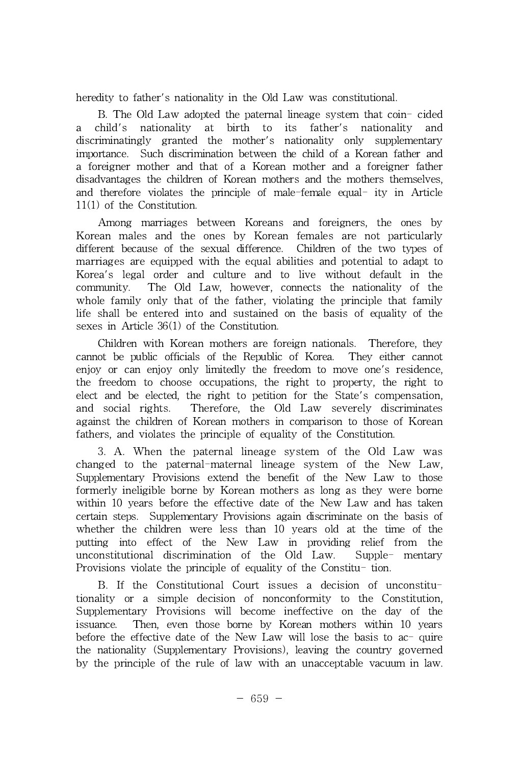heredity to father's nationality in the Old Law was constitutional.

B. The Old Law adopted the paternal lineage system that coin- cided a child's nationality at birth to its father's nationality and discriminatingly granted the mother's nationality only supplementary importance. Such discrimination between the child of a Korean father and a foreigner mother and that of a Korean mother and a foreigner father disadvantages the children of Korean mothers and the mothers themselves, and therefore violates the principle of male-female equal- ity in Article 11(1) of the Constitution.

Among marriages between Koreans and foreigners, the ones by Korean males and the ones by Korean females are not particularly different because of the sexual difference. Children of the two types of marriages are equipped with the equal abilities and potential to adapt to Korea's legal order and culture and to live without default in the community. The Old Law, however, connects the nationality of the whole family only that of the father, violating the principle that family life shall be entered into and sustained on the basis of equality of the sexes in Article 36(1) of the Constitution.

Children with Korean mothers are foreign nationals. Therefore, they cannot be public officials of the Republic of Korea. They either cannot enjoy or can enjoy only limitedly the freedom to move one's residence, the freedom to choose occupations, the right to property, the right to elect and be elected, the right to petition for the State's compensation, and social rights. Therefore, the Old Law severely discriminates against the children of Korean mothers in comparison to those of Korean fathers, and violates the principle of equality of the Constitution.

3. A. When the paternal lineage system of the Old Law was changed to the paternal-maternal lineage system of the New Law, Supplementary Provisions extend the benefit of the New Law to those formerly ineligible borne by Korean mothers as long as they were borne within 10 years before the effective date of the New Law and has taken certain steps. Supplementary Provisions again discriminate on the basis of whether the children were less than 10 years old at the time of the putting into effect of the New Law in providing relief from the unconstitutional discrimination of the Old Law. Supple- mentary Provisions violate the principle of equality of the Constitu- tion.

B. If the Constitutional Court issues a decision of unconstitutionality or a simple decision of nonconformity to the Constitution, Supplementary Provisions will become ineffective on the day of the issuance. Then, even those borne by Korean mothers within 10 years before the effective date of the New Law will lose the basis to ac- quire the nationality (Supplementary Provisions), leaving the country governed by the principle of the rule of law with an unacceptable vacuum in law.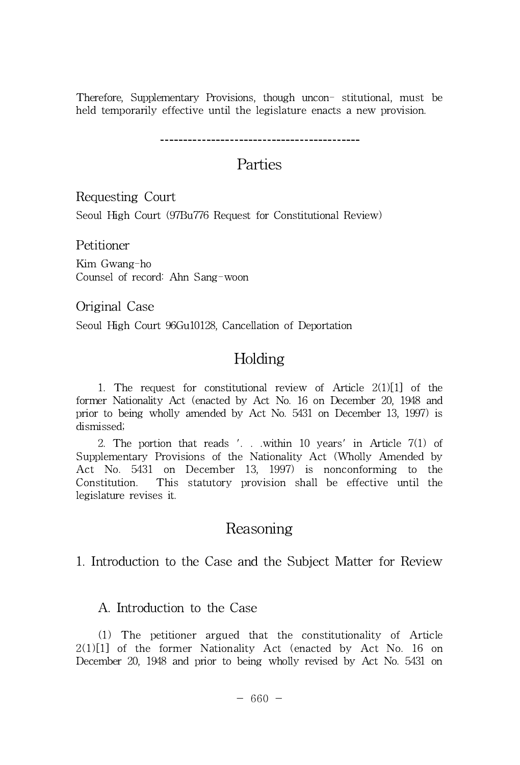Therefore, Supplementary Provisions, though uncon- stitutional, must be held temporarily effective until the legislature enacts a new provision.

# Parties

Requesting Court

Seoul High Court (97Bu776 Request for Constitutional Review)

Petitioner

Kim Gwang-ho Counsel of record: Ahn Sang-woon

Original Case

Seoul High Court 96Gu10128, Cancellation of Deportation

# Holding

1. The request for constitutional review of Article 2(1)[1] of the former Nationality Act (enacted by Act No. 16 on December 20, 1948 and prior to being wholly amended by Act No. 5431 on December 13, 1997) is dismissed;

2. The portion that reads '. . .within 10 years' in Article 7(1) of Supplementary Provisions of the Nationality Act (Wholly Amended by Act No. 5431 on December 13, 1997) is nonconforming to the Constitution. This statutory provision shall be effective until the legislature revises it.

## Reasoning

1. Introduction to the Case and the Subject Matter for Review

### A. Introduction to the Case

(1) The petitioner argued that the constitutionality of Article  $2(1)[1]$  of the former Nationality Act (enacted by Act No. 16 on December 20, 1948 and prior to being wholly revised by Act No. 5431 on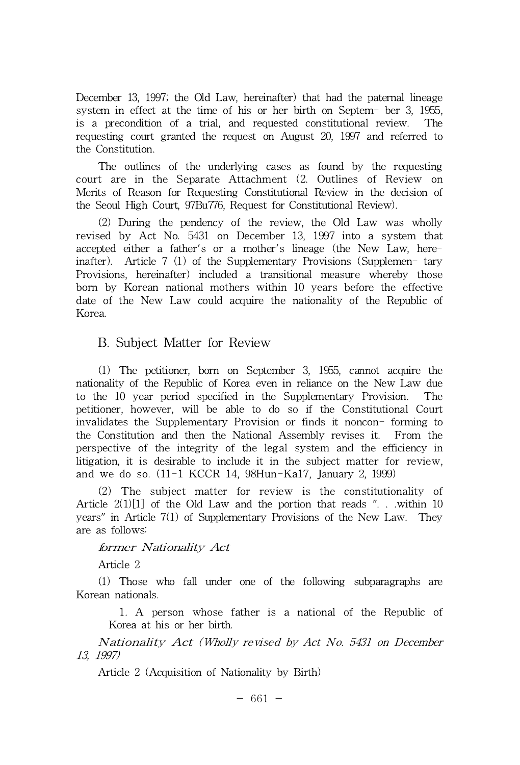December 13, 1997; the Old Law, hereinafter) that had the paternal lineage system in effect at the time of his or her birth on Septem- ber 3,1955, is a precondition of a trial, and requested constitutional review. The requesting court granted the request on August 20, 1997 and referred to the Constitution.

The outlines of the underlying cases as found by the requesting court are in the Separate Attachment (2. Outlines of Review on Merits of Reason for Requesting Constitutional Review in the decision of the Seoul High Court, 97Bu776, Request for Constitutional Review).

(2) During the pendency of the review, the Old Law was wholly revised by Act No. 5431 on December 13, 1997 into a system that accepted either a father's or a mother's lineage (the New Law, hereinafter). Article 7 (1) of the Supplementary Provisions (Supplemen- tary Provisions, hereinafter) included a transitional measure whereby those born by Korean national mothers within 10 years before the effective date of the New Law could acquire the nationality of the Republic of Korea.

#### B. Subject Matter for Review

(1) The petitioner, born on September 3, 1955, cannot acquire the nationality of the Republic of Korea even in reliance on the New Law due to the 10 year period specified in the Supplementary Provision. The petitioner, however, will be able to do so if the Constitutional Court invalidates the Supplementary Provision or finds it noncon- forming to the Constitution and then the National Assembly revises it. From the perspective of the integrity of the legal system and the efficiency in litigation, it is desirable to include it in the subject matter for review, and we do so. (11-1 KCCR 14, 98Hun-Ka17, January 2, 1999)

(2) The subject matter for review is the constitutionality of Article 2(1)[1] of the Old Law and the portion that reads ". . .within 10 years" in Article 7(1) of Supplementary Provisions of the New Law. They are as follows:

#### former Nationality Act

Article 2

(1) Those who fall under one of the following subparagraphs are<br>
an nationals.<br>
1. A person whose father is a national of the Republic of<br>
Korea at his or her birth.<br>
Nationality Act (Wholly revised by Act No. 5431 on Dec Korean nationals.

1. A person whose father is a national of the Republic of Korea at his or her birth.

13, 1997)

Article 2 (Acquisition of Nationality by Birth)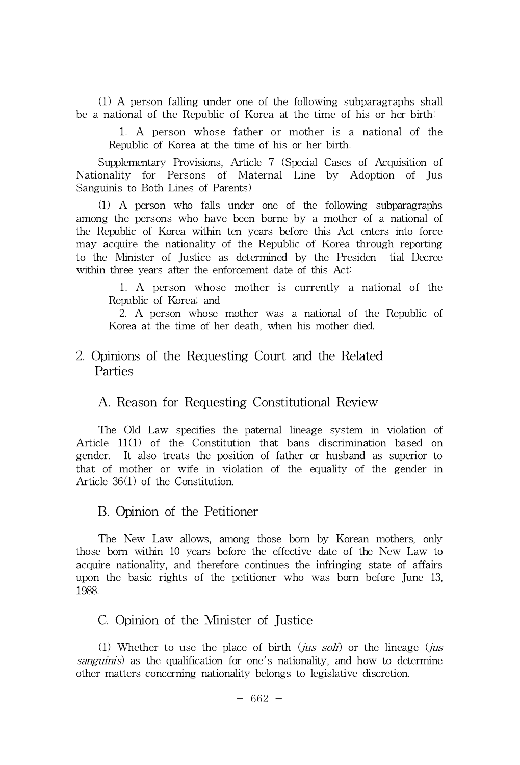(1) A person falling under one of the following subparagraphs shall be a national of the Republic of Korea at the time of his or her birth:

1. A person whose father or mother is a national of the Republic of Korea at the time of his or her birth.

Supplementary Provisions, Article 7 (Special Cases of Acquisition of Nationality for Persons of Maternal Line by Adoption of Jus Sanguinis to Both Lines of Parents)

(1) A person who falls under one of the following subparagraphs among the persons who have been borne by a mother of a national of the Republic of Korea within ten years before this Act enters into force may acquire the nationality of the Republic of Korea through reporting to the Minister of Justice as determined by the Presiden- tial Decree within three years after the enforcement date of this Act:

1. A person whose mother is currently a national of the Republic of Korea; and

2. A person whose mother was a national of the Republic of Korea at the time of her death, when his mother died.

#### 2. Opinions of the Requesting Court and the Related Parties

#### A. Reason for Requesting Constitutional Review

The Old Law specifies the paternal lineage system in violation of Article 11(1) of the Constitution that bans discrimination based on gender. It also treats the position of father or husband as superior to that of mother or wife in violation of the equality of the gender in Article 36(1) of the Constitution.

#### B. Opinion of the Petitioner

The New Law allows, among those born by Korean mothers, only those born within 10 years before the effective date of the New Law to acquire nationality, and therefore continues the infringing state of affairs upon the basic rights of the petitioner who was born before June 13, 1988.

#### C. Opinion of the Minister of Justice

(1) Whether to use the place of birth (jus soli) or the lineage (jus sanguinis) as the qualification for one's nationality, and how to determine other matters concerning nationality belongs to legislative discretion.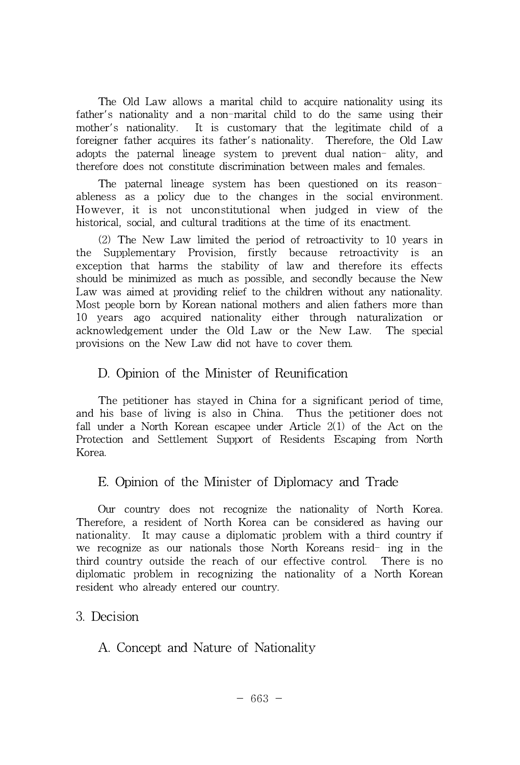The Old Law allows a marital child to acquire nationality using its father's nationality and a non-marital child to do the same using their mother's nationality. It is customary that the legitimate child of a foreigner father acquires its father's nationality. Therefore, the Old Law adopts the paternal lineage system to prevent dual nation- ality, and therefore does not constitute discrimination between males and females.

The paternal lineage system has been questioned on its reasonableness as a policy due to the changes in the social environment. However, it is not unconstitutional when judged in view of the historical, social, and cultural traditions at the time of its enactment.

(2) The New Law limited the period of retroactivity to 10 years in the Supplementary Provision, firstly because retroactivity is an exception that harms the stability of law and therefore its effects should be minimized as much as possible, and secondly because the New Law was aimed at providing relief to the children without any nationality. Most people born by Korean national mothers and alien fathers more than 10 years ago acquired nationality either through naturalization or acknowledgement under the Old Law or the New Law. The special provisions on the New Law did not have to cover them.

#### D. Opinion of the Minister of Reunification

The petitioner has stayed in China for a significant period of time, and his base of living is also in China. Thus the petitioner does not fall under a North Korean escapee under Article 2(1) of the Act on the Protection and Settlement Support of Residents Escaping from North Korea.

### E. Opinion of the Minister of Diplomacy and Trade

Our country does not recognize the nationality of North Korea. Therefore, a resident of North Korea can be considered as having our nationality. It may cause a diplomatic problem with a third country if we recognize as our nationals those North Koreans resid- ing in the third country outside the reach of our effective control. There is no diplomatic problem in recognizing the nationality of a North Korean resident who already entered our country.

#### 3. Decision

A. Concept and Nature of Nationality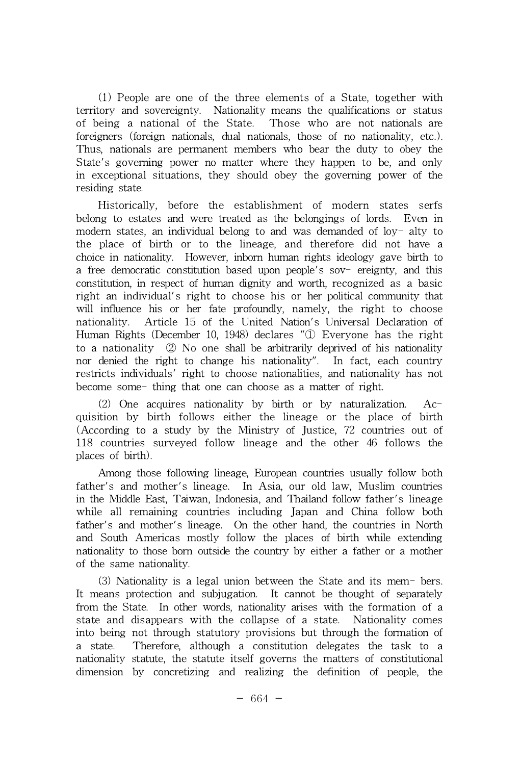(1) People are one of the three elements of a State, together with territory and sovereignty. Nationality means the qualifications or status of being a national of the State. Those who are not nationals are foreigners (foreign nationals, dual nationals, those of no nationality, etc.). Thus, nationals are permanent members who bear the duty to obey the State's governing power no matter where they happen to be, and only in exceptional situations, they should obey the governing power of the residing state.

Historically, before the establishment of modern states serfs belong to estates and were treated as the belongings of lords. Even in modern states, an individual belong to and was demanded of  $\log$ -alty to the place of birth or to the lineage, and therefore did not have a choice in nationality. However, inborn human rights ideology gave birth to a free democratic constitution based upon people's sov- ereignty, and this constitution, in respect of human dignity and worth, recognized as a basic right an individual's right to choose his or her political community that will influence his or her fate profoundly, namely, the right to choose nationality. Article 15 of the United Nation's Universal Declaration of Human Rights (December 10, 1948) declares "① Everyone has the right to a nationality ② No one shall be arbitrarily deprived of his nationality nor denied the right to change his nationality". In fact, each country restricts individuals' right to choose nationalities, and nationality has not become some- thing that one can choose as a matter of right.

(2) One acquires nationality by birth or by naturalization. Acquisition by birth follows either the lineage or the place of birth (According to a study by the Ministry of Justice, 72 countries out of 118 countries surveyed follow lineage and the other 46 follows the places of birth).

Among those following lineage, European countries usually follow both father's and mother's lineage. In Asia, our old law, Muslim countries in the Middle East, Taiwan, Indonesia, and Thailand follow father's lineage while all remaining countries including Japan and China follow both father's and mother's lineage. On the other hand, the countries in North and South Americas mostly follow the places of birth while extending nationality to those born outside the country by either a father or a mother of the same nationality.

(3) Nationality is a legal union between the State and its mem- bers. It means protection and subjugation. It cannot be thought of separately from the State. In other words, nationality arises with the formation of a state and disappears with the collapse of a state. Nationality comes into being not through statutory provisions but through the formation of a state. Therefore, although a constitution delegates the task to a nationality statute, the statute itself governs the matters of constitutional dimension by concretizing and realizing the definition of people, the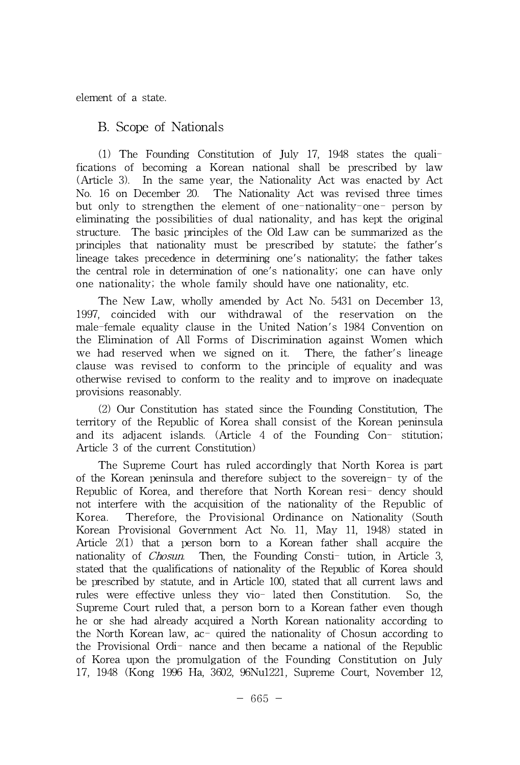#### element of a state.

#### B. Scope of Nationals

(1) The Founding Constitution of July 17, 1948 states the qualifications of becoming a Korean national shall be prescribed by law (Article 3). In the same year, the Nationality Act was enacted by Act No. 16 on December 20. The Nationality Act was revised three times but only to strengthen the element of one-nationality-one- person by eliminating the possibilities of dual nationality, and has kept the original structure. The basic principles of the Old Law can be summarized as the principles that nationality must be prescribed by statute; the father's lineage takes precedence in determining one's nationality; the father takes the central role in determination of one's nationality; one can have only one nationality; the whole family should have one nationality, etc.

The New Law, wholly amended by Act No. 5431 on December 13, 1997, coincided with our withdrawal of the reservation on the male-female equality clause in the United Nation's 1984 Convention on the Elimination of All Forms of Discrimination against Women which we had reserved when we signed on it. There, the father's lineage clause was revised to conform to the principle of equality and was otherwise revised to conform to the reality and to improve on inadequate provisions reasonably.

(2) Our Constitution has stated since the Founding Constitution, The territory of the Republic of Korea shall consist of the Korean peninsula and its adjacent islands. (Article 4 of the Founding Con- stitution; Article 3 of the current Constitution)

The Supreme Court has ruled accordingly that North Korea is part of the Korean peninsula and therefore subject to the sovereign- ty of the Republic of Korea, and therefore that North Korean resi- dency should not interfere with the acquisition of the nationality of the Republic of Korea. Therefore, the Provisional Ordinance on Nationality (South Korean Provisional Government Act No. 11, May 11, 1948) stated in Article 2(1) that a person born to a Korean father shall acquire the nationality of Chosun. Then, the Founding Consti- tution, in Article 3, stated that the qualifications of nationality of the Republic of Korea should be prescribed by statute, and in Article 100, stated that all current laws and rules were effective unless they vio- lated then Constitution. So, the Supreme Court ruled that, a person born to a Korean father even though he or she had already acquired a North Korean nationality according to the North Korean law, ac- quired the nationality of Chosun according to the Provisional Ordi- nance and then became a national of the Republic of Korea upon the promulgation ofthe Founding Constitution on July 17, 1948 (Kong 1996 Ha, 3602, 96Nu1221, Supreme Court, November 12,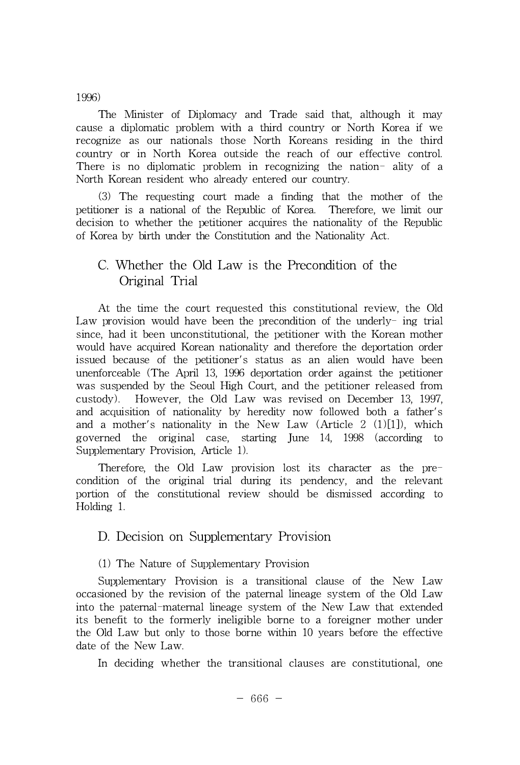#### 1996)

The Minister of Diplomacy and Trade said that, although it may cause a diplomatic problem with a third country or North Korea if we recognize as our nationals those North Koreans residing in the third country or in North Korea outside the reach of our effective control. There is no diplomatic problem in recognizing the nation- ality of a North Korean resident who already entered our country.

(3) The requesting court made a finding that the mother of the petitioner is a national of the Republic of Korea. Therefore, we limit our decision to whether the petitioner acquires the nationality of the Republic of Korea by birth under the Constitution and the Nationality Act.

## C. Whether the Old Law is the Precondition of the Original Trial

At the time the court requested this constitutional review, the Old Law provision would have been the precondition of the underly- ing trial since, had it been unconstitutional, the petitioner with the Korean mother would have acquired Korean nationality and therefore the deportation order issued because of the petitioner's status as an alien would have been unenforceable (The April 13, 1996 deportation order against the petitioner was suspended by the Seoul High Court, and the petitioner released from custody). However, the Old Law was revised on December 13, 1997, and acquisition of nationality by heredity now followed both a father's and a mother's nationality in the New Law  $(Article 2 (1)[1])$ , which governed the original case, starting June 14, 1998 (according to Supplementary Provision, Article 1).

Therefore, the Old Law provision lost its character as the precondition of the original trial during its pendency, and the relevant portion of the constitutional review should be dismissed according to Holding 1.

### D. Decision on Supplementary Provision

#### (1) The Nature of Supplementary Provision

Supplementary Provision is a transitional clause of the New Law occasioned by the revision of the paternal lineage system of the Old Law into the paternal-maternal lineage system of the New Law that extended its benefit to the formerly ineligible borne to a foreigner mother under the Old Law but only to those borne within 10 years before the effective date of the New Law.

In deciding whether the transitional clauses are constitutional, one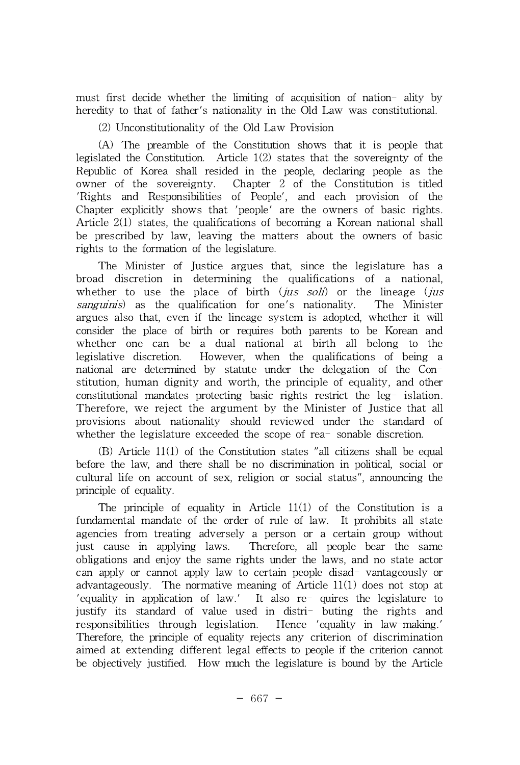must first decide whether the limiting of acquisition of nation- ality by heredity to that of father's nationality in the Old Law was constitutional.

(2) Unconstitutionality of the Old Law Provision

(A) The preamble of the Constitution shows that it is people that legislated the Constitution. Article 1(2) states that the sovereignty of the Republic of Korea shall resided in the people, declaring people as the owner of the sovereignty. Chapter 2 of the Constitution is titled 'Rights and Responsibilities of People', and each provision of the Chapter explicitly shows that 'people' are the owners of basic rights. Article 2(1) states, the qualifications of becoming a Korean national shall be prescribed by law, leaving the matters about the owners of basic rights to the formation of the legislature.

The Minister of Justice argues that, since the legislature has a broad discretion in determining the qualifications of a national, whether to use the place of birth  $(jus \, soli)$  or the lineage  $(jus$ sanguinis) as the qualification for one's nationality. The Minister argues also that, even if the lineage system is adopted, whether it will consider the place of birth or requires both parents to be Korean and whether one can be a dual national at birth all belong to the legislative discretion. However, when the qualifications of being a national are determined by statute under the delegation of the Constitution, human dignity and worth, the principle of equality, and other constitutional mandates protecting basic rights restrict the leg- islation. Therefore, we reject the argument by the Minister of Justice that all provisions about nationality should reviewed under the standard of whether the legislature exceeded the scope of rea-sonable discretion.

(B) Article 11(1) of the Constitution states "all citizens shall be equal before the law, and there shall be no discrimination in political, social or cultural life on account of sex, religion or social status", announcing the principle of equality.

The principle of equality in Article 11(1) of the Constitution is a fundamental mandate of the order of rule of law. It prohibits all state agencies from treating adversely a person or a certain group without just cause in applying laws. Therefore, all people bear the same obligations and enjoy the same rights under the laws, and no state actor can apply or cannot apply law to certain people disad- vantageously or advantageously. The normative meaning of Article 11(1) does not stop at 'equality in application of law.' It also re- quires the legislature to justify its standard of value used in distri- buting the rights and responsibilities through legislation. Hence 'equality in law-making.' Therefore, the principle of equality rejects any criterion of discrimination aimed at extending different legal effects to people if the criterion cannot be objectively justified. How much the legislature is bound by the Article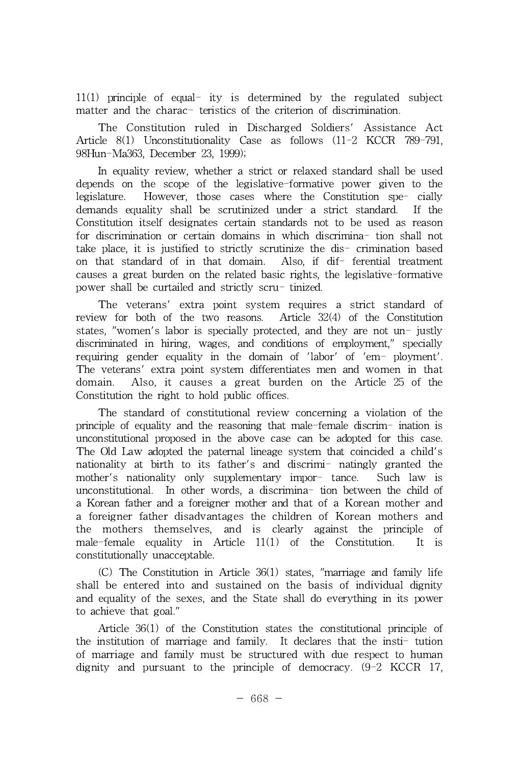11(1) principle of equal- ity is determined by the regulated subject matter and the charac- teristics of the criterion of discrimination.

The Constitution ruled in Discharged Soldiers' Assistance Act Article 8(1) Unconstitutionality Case as follows (11-2 KCCR 789-791, 98Hun-Ma363, December 23, 1999);

In equality review, whether a strict or relaxed standard shall be used depends on the scope of the legislative-formative power given to the legislature. However, those cases where the Constitution spe- cially demands equality shall be scrutinized under a strict standard. If the Constitution itself designates certain standards not to be used as reason for discrimination or certain domains in which discrimina- tion shall not take place, it is justified to strictly scrutinize the dis- crimination based on that standard of in that domain. Also, if dif- ferential treatment causes a great burden on the related basic rights, the legislative-formative power shall be curtailed and strictly scru- tinized.

The veterans' extra point system requires a strict standard of review for both of the two reasons. Article  $32(4)$  of the Constitution states, "women's labor is specially protected, and they are not un- justly discriminated in hiring, wages, and conditions of employment," specially requiring gender equality in the domain of 'labor' of 'em- ployment'. The veterans' extra point system differentiates men and women in that domain. Also, it causes a great burden on the Article 25 of the Constitution the right to hold public offices.

The standard of constitutional review concerning a violation of the principle of equality and the reasoning that male-female discrim- ination is unconstitutional proposed in the above case can be adopted for this case. The Old Law adopted the paternal lineage system that coincided a child's nationality at birth to its father's and discrimi- natingly granted the mother's nationality only supplementary impor- tance. Such law is unconstitutional. In other words, a discrimina- tion between the child of a Korean father and a foreigner mother and that of a Korean mother and a foreigner father disadvantages the children of Korean mothers and the mothers themselves, and is clearly against the principle of male-female equality in Article 11(1) of the Constitution. It is constitutionally unacceptable.

(C) The Constitution in Article 36(1) states, "marriage and family life shall be entered into and sustained on the basis of individual dignity and equality of the sexes, and the State shall do everything in its power to achieve that goal."

Article 36(1) of the Constitution states the constitutional principle of the institution of marriage and family. It declares that the insti- tution of marriage and family must be structured with due respect to human dignity and pursuant to the principle of democracy. (9-2 KCCR 17,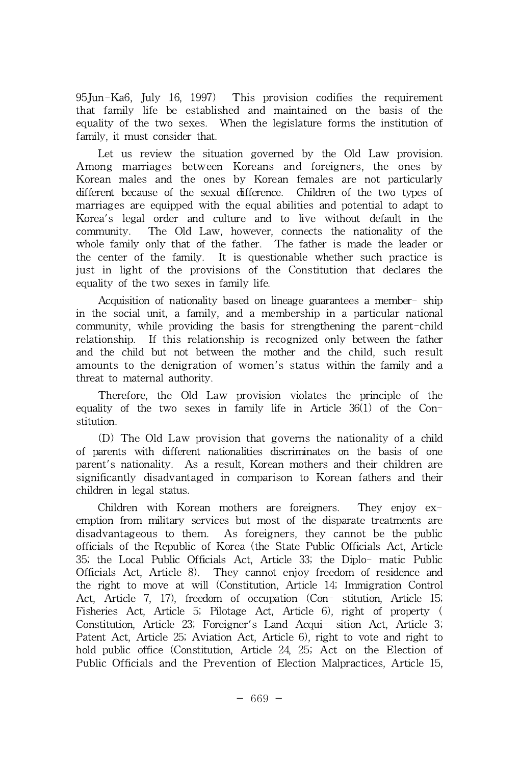95Jun-Ka6, July 16, 1997) This provision codifies the requirement that family life be established and maintained on the basis of the equality of the two sexes. When the legislature forms the institution of family, it must consider that.

Let us review the situation governed by the Old Law provision. Among marriages between Koreans and foreigners, the ones by Korean males and the ones by Korean females are not particularly different because of the sexual difference. Children of the two types of marriages are equipped with the equal abilities and potential to adapt to Korea's legal order and culture and to live without default in the community. The Old Law, however, connects the nationality of the whole family only that of the father. The father is made the leader or the center of the family. It is questionable whether such practice is just in light of the provisions of the Constitution that declares the equality of the two sexes in family life.

Acquisition of nationality based on lineage guarantees a member- ship in the social unit, a family, and a membership in a particular national community, while providing the basis for strengthening the parent-child relationship. If this relationship is recognized only between the father and the child but not between the mother and the child, such result amounts to the denigration of women's status within the family and a threat to maternal authority.

Therefore, the Old Law provision violates the principle of the equality of the two sexes in family life in Article  $36(1)$  of the Constitution.

(D) The Old Law provision that governs the nationality of a child of parents with different nationalities discriminates on the basis of one parent's nationality. As a result, Korean mothers and their children are significantly disadvantaged in comparison to Korean fathers and their children in legal status.

Children with Korean mothers are foreigners. They enjoy exemption from military services but most of the disparate treatments are disadvantageous to them. As foreigners, they cannot be the public officials of the Republic of Korea (the State Public Officials Act, Article 35; the Local Public Officials Act, Article 33; the Diplo- matic Public Officials Act, Article 8). They cannot enjoy freedom of residence and the right to move at will (Constitution, Article 14; Immigration Control Act, Article 7, 17), freedom of occupation (Con- stitution, Article 15; Fisheries Act, Article 5; Pilotage Act, Article 6), right of property ( Constitution, Article 23; Foreigner's Land Acqui- sition Act, Article 3; Patent Act, Article 25; Aviation Act, Article 6), right to vote and right to hold public office (Constitution, Article 24,25; Act on the Election of Public Officials and the Prevention of Election Malpractices, Article 15,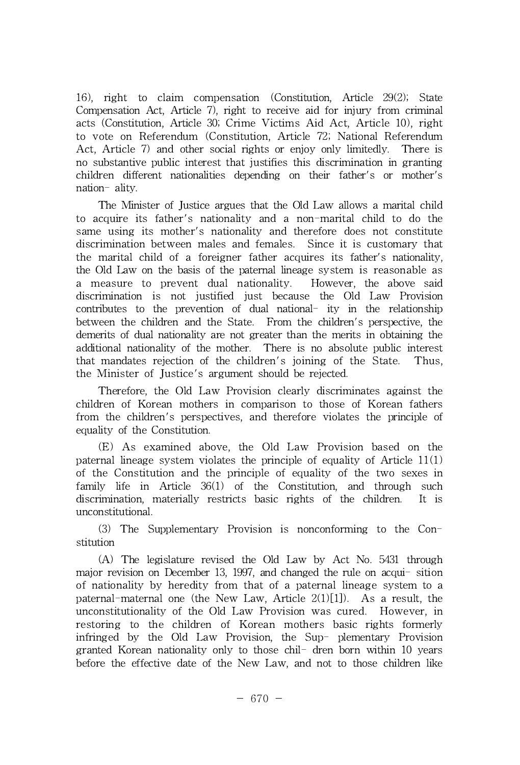16), right to claim compensation (Constitution, Article 29(2); State Compensation Act, Article 7), right to receive aid for injury from criminal acts (Constitution, Article 30; Crime Victims Aid Act, Article 10), right to vote on Referendum (Constitution, Article 72; National Referendum Act, Article 7) and other social rights or enjoy only limitedly. There is no substantive public interest that justifies this discrimination in granting children different nationalities depending on their father's or mother's nation- ality.

The Minister of Justice argues that the Old Law allows a marital child to acquire its father's nationality and a non-marital child to do the same using its mother's nationality and therefore does not constitute discrimination between males and females. Since it is customary that the marital child of a foreigner father acquires its father's nationality, the Old Law on the basis of the paternal lineage system is reasonable as a measure to prevent dual nationality. However, the above said discrimination is not justified just because the Old Law Provision contributes to the prevention of dual national- ity in the relationship between the children and the State. From the children's perspective, the demerits of dual nationality are not greater than the merits in obtaining the additional nationality of the mother. There is no absolute public interest that mandates rejection of the children's joining of the State. Thus, the Minister of Justice's argument should be rejected.

Therefore, the Old Law Provision clearly discriminates against the children of Korean mothers in comparison to those of Korean fathers from the children's perspectives, and therefore violates the principle of equality of the Constitution.

(E) As examined above, the Old Law Provision based on the paternal lineage system violates the principle of equality of Article 11(1) of the Constitution and the principle of equality of the two sexes in family life in Article 36(1) of the Constitution, and through such discrimination, materially restricts basic rights of the children. It is unconstitutional.

(3) The Supplementary Provision is nonconforming to the Constitution

(A) The legislature revised the Old Law by Act No. 5431 through major revision on December 13, 1997, and changed the rule on acqui- sition of nationality by heredity from that of a paternal lineage system to a paternal-maternal one (the New Law, Article  $2(1)[1]$ ). As a result, the unconstitutionality of the Old Law Provision was cured. However, in restoring to the children of Korean mothers basic rights formerly infringed by the Old Law Provision, the Sup- plementary Provision granted Korean nationality only to those chil- dren born within 10 years before the effective date of the New Law, and not to those children like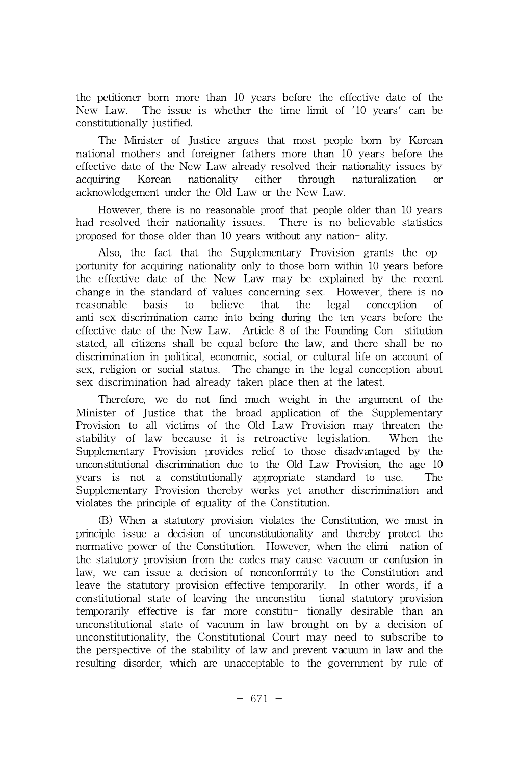the petitioner born more than 10 years before the effective date of the New Law. The issue is whether the time limit of '10 years' can be constitutionally justified.

The Minister of Justice argues that most people born by Korean national mothers and foreigner fathers more than 10 years before the effective date of the New Law already resolved their nationality issues by acquiring Korean nationality either through naturalization or acknowledgement under the Old Law or the New Law.

However, there is no reasonable proof that people older than 10 years had resolved their nationality issues. There is no believable statistics proposed for those older than 10 years without any nation- ality.

Also, the fact that the Supplementary Provision grants the opportunity for acquiring nationality only to those born within 10 years before the effective date of the New Law may be explained by the recent change in the standard of values concerning sex. However, there is no reasonable basis to believe that the legal conception of anti-sex-discrimination came into being during the ten years before the effective date of the New Law. Article 8 of the Founding Con- stitution stated, all citizens shall be equal before the law, and there shall be no discrimination in political, economic, social, or cultural life on account of sex, religion or social status. The change in the legal conception about sex discrimination had already taken place then at the latest.

Therefore, we do not find much weight in the argument of the Minister of Justice that the broad application of the Supplementary Provision to all victims of the Old Law Provision may threaten the stability of law because it is retroactive legislation. When the Supplementary Provision provides relief to those disadvantaged by the unconstitutional discrimination due to the Old Law Provision, the age 10 years is not a constitutionally appropriate standard to use. The Supplementary Provision thereby works yet another discrimination and violates the principle of equality of the Constitution.

(B) When a statutory provision violates the Constitution, we must in principle issue a decision of unconstitutionality and thereby protect the normative power of the Constitution. However, when the elimi- nation of the statutory provision from the codes may cause vacuum or confusion in law, we can issue a decision of nonconformity to the Constitution and leave the statutory provision effective temporarily. In other words, if a constitutional state of leaving the unconstitu- tional statutory provision temporarily effective is far more constitu- tionally desirable than an unconstitutional state of vacuum in law brought on by a decision of unconstitutionality, the Constitutional Court may need to subscribe to the perspective of the stability of law and prevent vacuum in law and the resulting disorder, which are unacceptable to the government by rule of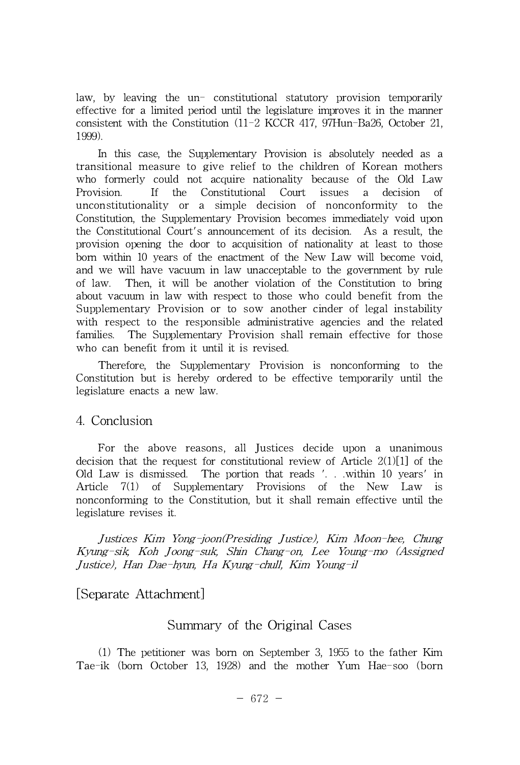law, by leaving the un- constitutional statutory provision temporarily effective for a limited period until the legislature improves it in the manner consistent with the Constitution (11-2 KCCR 417, 97Hun-Ba26, October 21, 1999).

In this case, the Supplementary Provision is absolutely needed as a transitional measure to give relief to the children of Korean mothers who formerly could not acquire nationality because of the Old Law Provision. If the Constitutional Court issues a decision of unconstitutionality or a simple decision of nonconformity to the Constitution, the Supplementary Provision becomes immediately void upon the Constitutional Court's announcement of its decision. As a result, the provision opening the door to acquisition of nationality at least to those born within 10 years of the enactment of the New Law will become void, and we will have vacuum in law unacceptable to the government by rule of law. Then, it will be another violation of the Constitution to bring about vacuum in law with respect to those who could benefit from the Supplementary Provision or to sow another cinder of legal instability with respect to the responsible administrative agencies and the related families. The Supplementary Provision shall remain effective for those who can benefit from it until it is revised.

Therefore, the Supplementary Provision is nonconforming to the Constitution but is hereby ordered to be effective temporarily until the legislature enacts a new law.

#### 4. Conclusion

For the above reasons, all Justices decide upon a unanimous decision that the request for constitutional review of Article  $2(1)[1]$  of the Old Law is dismissed. The portion that reads '. . .within 10 years' in Article 7(1) of Supplementary Provisions of the New Law is nonconforming to the Constitution, but it shall remain effective until the legislature revises it.

Justices Kim Yong-joon(Presiding Justice), Kim Moon-hee, Chung Kyung-sik, Koh Joong-suk, Shin Chang-on, Lee Young-mo (Assigned Justice), Han Dae-hyun, Ha Kyung-chull, Kim Young-il

### [Separate Attachment]

### Summary of the Original Cases

(1) The petitioner was born on September 3,1955 to the father Kim Tae-ik (born October 13, 1928) and the mother Yum Hae-soo (born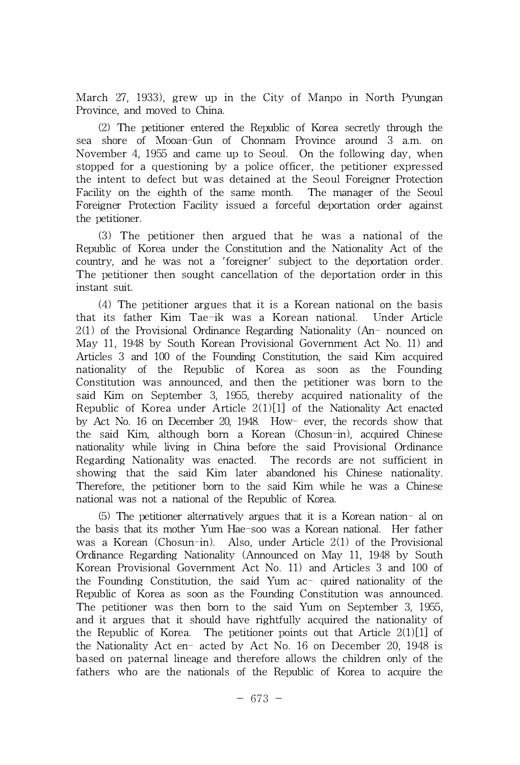March 27, 1933), grew up in the City of Manpo in North Pyungan Province, and moved to China.

(2) The petitioner entered the Republic of Korea secretly through the sea shore of Mooan-Gun of Chonnam Province around 3 a.m. on November 4,1955 and came up to Seoul. On the following day, when stopped for a questioning by a police officer, the petitioner expressed the intent to defect but was detained atthe Seoul Foreigner Protection Facility on the eighth of the same month. The manager of the Seoul Foreigner Protection Facility issued a forceful deportation order against the petitioner.

(3) The petitioner then argued that he was a national of the Republic of Korea under the Constitution and the Nationality Act of the country, and he was not a 'foreigner' subject to the deportation order. The petitioner then sought cancellation of the deportation order in this instant suit.

(4) The petitioner argues that it is a Korean national on the basis that its father Kim Tae-ik was a Korean national. Under Article 2(1) of the Provisional Ordinance Regarding Nationality (An- nounced on May 11, 1948 by South Korean Provisional Government Act No. 11) and Articles 3 and 100 of the Founding Constitution, the said Kim acquired nationality of the Republic of Korea as soon as the Founding Constitution was announced, and then the petitioner was born to the said Kim on September 3, 1955, thereby acquired nationality of the Republic of Korea under Article 2(1)[1] of the Nationality Act enacted by Act No. 16 on December 20, 1948. How- ever, the records show that the said Kim, although born a Korean (Chosun-in), acquired Chinese nationality while living in China before the said Provisional Ordinance Regarding Nationality was enacted. The records are not sufficient in showing that the said Kim later abandoned his Chinese nationality. Therefore, the petitioner born to the said Kim while he was a Chinese national was not a national of the Republic of Korea.

(5) The petitioner alternatively argues that it is a Korean nation- al on the basis that its mother Yum Hae-soo was a Korean national. Her father was a Korean (Chosun-in). Also, under Article 2(1) of the Provisional Ordinance Regarding Nationality (Announced on May 11, 1948 by South Korean Provisional Government Act No. 11) and Articles 3 and 100 of the Founding Constitution, the said Yum ac- quired nationality of the Republic of Korea as soon as the Founding Constitution was announced. The petitioner was then born to the said Yum on September 3, 1955, and it argues that it should have rightfully acquired the nationality of the Republic of Korea. The petitioner points out that Article 2(1)[1] of the Nationality Act en- acted by Act No. 16 on December 20, 1948 is based on paternal lineage and therefore allows the children only of the fathers who are the nationals of the Republic of Korea to acquire the